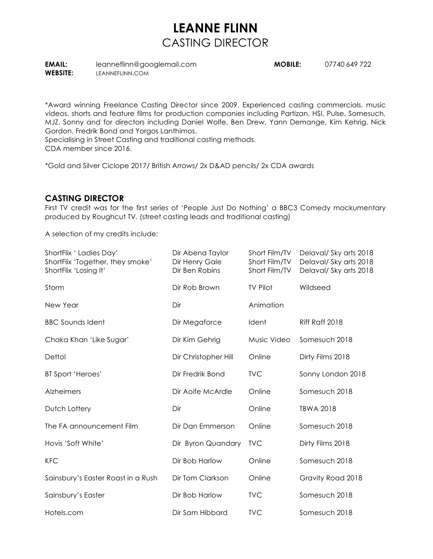## **LEANNE FLINN** CASTING DIRECTOR

**EMAIL:** leanneflinn@googlemail.com **MOBILE:** 07740 649 722

**WEBSITE:** LEANNEFLINN.COM

\*Award winning Freelance Casting Director since 2009. Experienced casting commercials, music videos, shorts and feature films for production companies including Partizan, HSI, Pulse, Somesuch, MJZ, Sonny and for directors including Daniel Wolfe, Ben Drew, Yann Demange, Kim Kehrig, Nick Gordon, Fredrik Bond and Yorgos Lanthimos.

Specialising in Street Casting and traditional casting methods.

CDA member since 2016.

\*Gold and Silver Ciclope 2017/ British Arrows/ 2x D&AD pencils/ 2x CDA awards

## **CASTING DIRECTOR**

First TV credit was for the first series of 'People Just Do Nothing' a BBC3 Comedy mockumentary produced by Roughcut TV. (street casting leads and traditional casting)

A selection of my credits include:

| ShortFlix 'Ladies Day'<br>ShortFlix 'Together, they smoke'<br>ShortFlix 'Losing It' | Dir Abena Taylor<br>Dir Henry Gale<br>Dir Ben Robins | Short Film/TV<br>Short Film/TV<br>Short Film/TV | Delaval/Sky arts 2018<br>Delaval/ Sky arts 2018<br>Delaval/ Sky arts 2018 |
|-------------------------------------------------------------------------------------|------------------------------------------------------|-------------------------------------------------|---------------------------------------------------------------------------|
| Storm                                                                               | Dir Rob Brown                                        | <b>TV Pilot</b>                                 | Wildseed                                                                  |
| New Year                                                                            | Dir                                                  | Animation                                       |                                                                           |
| <b>BBC Sounds Ident</b>                                                             | Dir Megaforce                                        | Ident                                           | Riff Raff 2018                                                            |
| Chaka Khan 'Like Sugar'                                                             | Dir Kim Gehrig                                       | Music Video                                     | Somesuch 2018                                                             |
| Dettol                                                                              | Dir Christopher Hill                                 | Online                                          | Dirty Films 2018                                                          |
| BT Sport 'Heroes'                                                                   | Dir Fredrik Bond                                     | <b>TVC</b>                                      | Sonny London 2018                                                         |
| Alzheimers                                                                          | Dir Aoife McArdle                                    | Online                                          | Somesuch 2018                                                             |
| Dutch Lottery                                                                       | Dir                                                  | Online                                          | <b>TBWA 2018</b>                                                          |
| The FA announcement Film                                                            | Dir Dan Emmerson                                     | Online                                          | Somesuch 2018                                                             |
| Hovis 'Soft White'                                                                  | Dir Byron Quandary                                   | <b>TVC</b>                                      | Dirty Films 2018                                                          |
| <b>KFC</b>                                                                          | Dir Bob Harlow                                       | Online                                          | Somesuch 2018                                                             |
| Sainsbury's Easter Roast in a Rush                                                  | Dir Tom Clarkson                                     | Online                                          | Gravity Road 2018                                                         |
| Sainsbury's Easter                                                                  | Dir Bob Harlow                                       | <b>TVC</b>                                      | Somesuch 2018                                                             |
| Hotels.com                                                                          | Dir Sam Hibbard                                      | <b>TVC</b>                                      | Somesuch 2018                                                             |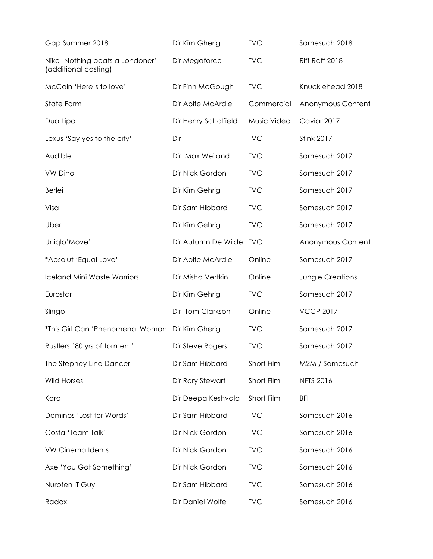| Gap Summer 2018                                         | Dir Kim Gherig       | <b>TVC</b>  | Somesuch 2018           |
|---------------------------------------------------------|----------------------|-------------|-------------------------|
| Nike 'Nothing beats a Londoner'<br>(additional casting) | Dir Megaforce        | <b>TVC</b>  | Riff Raff 2018          |
| McCain 'Here's to love'                                 | Dir Finn McGough     | <b>TVC</b>  | Knucklehead 2018        |
| State Farm                                              | Dir Aoife McArdle    | Commercial  | Anonymous Content       |
| Dua Lipa                                                | Dir Henry Scholfield | Music Video | Caviar 2017             |
| Lexus 'Say yes to the city'                             | Dir                  | <b>TVC</b>  | <b>Stink 2017</b>       |
| Audible                                                 | Dir Max Weiland      | <b>TVC</b>  | Somesuch 2017           |
| <b>VW Dino</b>                                          | Dir Nick Gordon      | <b>TVC</b>  | Somesuch 2017           |
| <b>Berlei</b>                                           | Dir Kim Gehrig       | <b>TVC</b>  | Somesuch 2017           |
| Visa                                                    | Dir Sam Hibbard      | <b>TVC</b>  | Somesuch 2017           |
| Uber                                                    | Dir Kim Gehrig       | <b>TVC</b>  | Somesuch 2017           |
| Uniqlo'Move'                                            | Dir Autumn De Wilde  | <b>TVC</b>  | Anonymous Content       |
| *Absolut 'Equal Love'                                   | Dir Aoife McArdle    | Online      | Somesuch 2017           |
| <b>Iceland Mini Waste Warriors</b>                      | Dir Misha Vertkin    | Online      | <b>Jungle Creations</b> |
| Eurostar                                                | Dir Kim Gehrig       | <b>TVC</b>  | Somesuch 2017           |
| Slingo                                                  | Dir Tom Clarkson     | Online      | <b>VCCP 2017</b>        |
| *This Girl Can 'Phenomenal Woman' Dir Kim Gherig        |                      | <b>TVC</b>  | Somesuch 2017           |
| Rustlers '80 yrs of torment'                            | Dir Steve Rogers     | <b>TVC</b>  | Somesuch 2017           |
| The Stepney Line Dancer                                 | Dir Sam Hibbard      | Short Film  | M2M / Somesuch          |
| <b>Wild Horses</b>                                      | Dir Rory Stewart     | Short Film  | <b>NFTS 2016</b>        |
| Kara                                                    | Dir Deepa Keshvala   | Short Film  | <b>BFI</b>              |
| Dominos 'Lost for Words'                                | Dir Sam Hibbard      | <b>TVC</b>  | Somesuch 2016           |
| Costa 'Team Talk'                                       | Dir Nick Gordon      | <b>TVC</b>  | Somesuch 2016           |
| <b>VW Cinema Idents</b>                                 | Dir Nick Gordon      | <b>TVC</b>  | Somesuch 2016           |
| Axe 'You Got Something'                                 | Dir Nick Gordon      | <b>TVC</b>  | Somesuch 2016           |
| Nurofen IT Guy                                          | Dir Sam Hibbard      | <b>TVC</b>  | Somesuch 2016           |
| Radox                                                   | Dir Daniel Wolfe     | <b>TVC</b>  | Somesuch 2016           |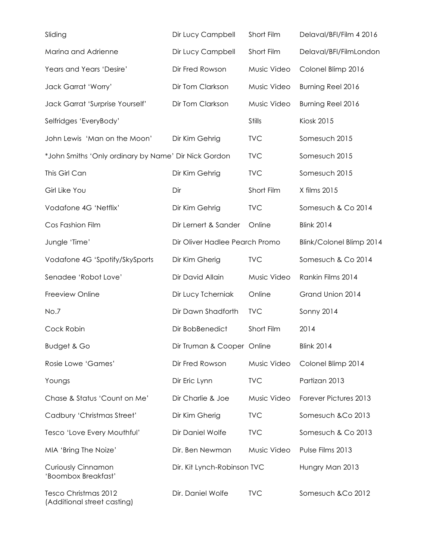| Sliding                                              | Dir Lucy Campbell              | Short Film    | Delaval/BFI/Film 4 2016  |
|------------------------------------------------------|--------------------------------|---------------|--------------------------|
| Marina and Adrienne                                  | Dir Lucy Campbell              | Short Film    | Delaval/BFI/FilmLondon   |
| Years and Years 'Desire'                             | Dir Fred Rowson                | Music Video   | Colonel Blimp 2016       |
| Jack Garrat 'Worry'                                  | Dir Tom Clarkson               | Music Video   | Burning Reel 2016        |
| Jack Garrat 'Surprise Yourself'                      | Dir Tom Clarkson               | Music Video   | Burning Reel 2016        |
| Selfridges 'EveryBody'                               |                                | <b>Stills</b> | <b>Kiosk 2015</b>        |
| John Lewis 'Man on the Moon'                         | Dir Kim Gehrig                 | <b>TVC</b>    | Somesuch 2015            |
| *John Smiths 'Only ordinary by Name' Dir Nick Gordon |                                | <b>TVC</b>    | Somesuch 2015            |
| This Girl Can                                        | Dir Kim Gehrig                 | <b>TVC</b>    | Somesuch 2015            |
| Girl Like You                                        | Dir                            | Short Film    | X films 2015             |
| Vodafone 4G 'Netflix'                                | Dir Kim Gehrig                 | <b>TVC</b>    | Somesuch & Co 2014       |
| Cos Fashion Film                                     | Dir Lernert & Sander           | Online        | <b>Blink 2014</b>        |
| Jungle 'Time'                                        | Dir Oliver Hadlee Pearch Promo |               | Blink/Colonel Blimp 2014 |
| Vodafone 4G 'Spotify/SkySports                       | Dir Kim Gherig                 | <b>TVC</b>    | Somesuch & Co 2014       |
| Senadee 'Robot Love'                                 | Dir David Allain               | Music Video   | Rankin Films 2014        |
| Freeview Online                                      | Dir Lucy Tcherniak             | Online        | Grand Union 2014         |
| No.7                                                 | Dir Dawn Shadforth             | <b>TVC</b>    | <b>Sonny 2014</b>        |
| Cock Robin                                           | Dir BobBenedict                | Short Film    | 2014                     |
| <b>Budget &amp; Go</b>                               | Dir Truman & Cooper Online     |               | <b>Blink 2014</b>        |
| Rosie Lowe 'Games'                                   | Dir Fred Rowson                | Music Video   | Colonel Blimp 2014       |
| Youngs                                               | Dir Eric Lynn                  | <b>TVC</b>    | Partizan 2013            |
| Chase & Status 'Count on Me'                         | Dir Charlie & Joe              | Music Video   | Forever Pictures 2013    |
| Cadbury 'Christmas Street'                           | Dir Kim Gherig                 | <b>TVC</b>    | Somesuch & Co 2013       |
| Tesco 'Love Every Mouthful'                          | Dir Daniel Wolfe               | <b>TVC</b>    | Somesuch & Co 2013       |
| MIA 'Bring The Noize'                                | Dir. Ben Newman                | Music Video   | Pulse Films 2013         |
| <b>Curiously Cinnamon</b><br>'Boombox Breakfast'     | Dir. Kit Lynch-Robinson TVC    |               | Hungry Man 2013          |
| Tesco Christmas 2012<br>(Additional street casting)  | Dir. Daniel Wolfe              | <b>TVC</b>    | Somesuch & Co 2012       |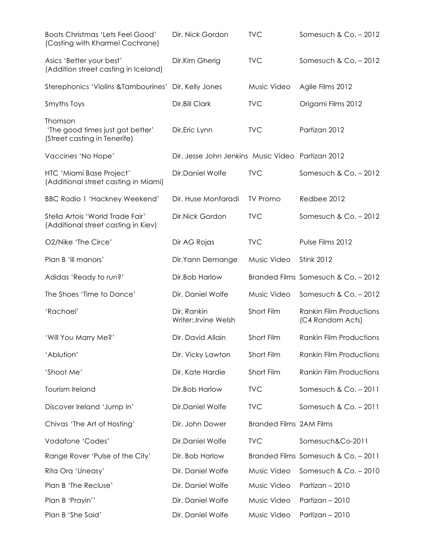| Boots Christmas 'Lets Feel Good'<br>(Casting with Kharmel Cochrane)         | Dir. Nick Gordon                                  | <b>TVC</b>                     | Somesuch & Co. - 2012                              |
|-----------------------------------------------------------------------------|---------------------------------------------------|--------------------------------|----------------------------------------------------|
| Asics 'Better your best'<br>(Addition street casting in Iceland)            | Dir.Kim Gherig                                    | <b>TVC</b>                     | Somesuch & $Co. - 2012$                            |
| Sterephonics 'Violins & Tambourines'                                        | Dir. Kelly Jones                                  | Music Video                    | Agile Films 2012                                   |
| Smyths Toys                                                                 | Dir.Bill Clark                                    | <b>TVC</b>                     | Origami Films 2012                                 |
| Thomson<br>'The good times just got better'<br>(Street casting in Tenerife) | Dir.Eric Lynn                                     | <b>TVC</b>                     | Partizan 2012                                      |
| Vaccines 'No Hope'                                                          | Dir. Jesse John Jenkins Music Video Partizan 2012 |                                |                                                    |
| HTC 'Miami Base Project'<br>(Additional street casting in Miami)            | Dir.Daniel Wolfe                                  | <b>TVC</b>                     | Somesuch & Co. - 2012                              |
| <b>BBC Radio 1 'Hackney Weekend'</b>                                        | Dir. Huse Monfaradi                               | <b>TV Promo</b>                | Redbee 2012                                        |
| Stella Artois 'World Trade Fair'<br>(Additional street casting in Kiev)     | Dir.Nick Gordon                                   | <b>TVC</b>                     | Somesuch & Co. - 2012                              |
| O2/Nike 'The Circe'                                                         | Dir AG Rojas                                      | <b>TVC</b>                     | Pulse Films 2012                                   |
| Plan B 'ill manors'                                                         | Dir.Yann Demange                                  | Music Video                    | <b>Stink 2012</b>                                  |
| Adidas 'Ready to run?'                                                      | Dir.Bob Harlow                                    |                                | Branded Films Somesuch & Co. - 2012                |
| The Shoes 'Time to Dance'                                                   | Dir. Daniel Wolfe                                 | Music Video                    | Somesuch & Co. - 2012                              |
| 'Rachael'                                                                   | Dir. Rankin<br>Writer:.Irvine Welsh               | Short Film                     | <b>Rankin Film Productions</b><br>(C4 Random Acts) |
| 'Will You Marry Me?'                                                        | Dir. David Allain                                 | Short Film                     | <b>Rankin Film Productions</b>                     |
| 'Ablution'                                                                  | Dir. Vicky Lawton                                 | Short Film                     | <b>Rankin Film Productions</b>                     |
| 'Shoot Me'                                                                  | Dir. Kate Hardie                                  | Short Film                     | <b>Rankin Film Productions</b>                     |
| Tourism Ireland                                                             | Dir.Bob Harlow                                    | <b>TVC</b>                     | Somesuch & Co. - 2011                              |
| Discover Ireland 'Jump In'                                                  | Dir.Daniel Wolfe                                  | <b>TVC</b>                     | Somesuch & Co. - 2011                              |
| Chivas 'The Art of Hosting'                                                 | Dir. John Dower                                   | <b>Branded Films 2AM Films</b> |                                                    |
| Vodafone 'Codes'                                                            | Dir.Daniel Wolfe                                  | <b>TVC</b>                     | Somesuch&Co-2011                                   |
| Range Rover 'Pulse of the City'                                             | Dir. Bob Harlow                                   |                                | Branded Films Somesuch & Co. - 2011                |
| Rita Ora 'Uneasy'                                                           | Dir. Daniel Wolfe                                 | Music Video                    | Somesuch & Co. - 2010                              |
| Plan B 'The Recluse'                                                        | Dir. Daniel Wolfe                                 | Music Video                    | Partizan - 2010                                    |
| Plan B 'Prayin''                                                            | Dir. Daniel Wolfe                                 | Music Video                    | Partizan - 2010                                    |
| Plan B 'She Said'                                                           | Dir. Daniel Wolfe                                 | Music Video                    | Partizan - 2010                                    |